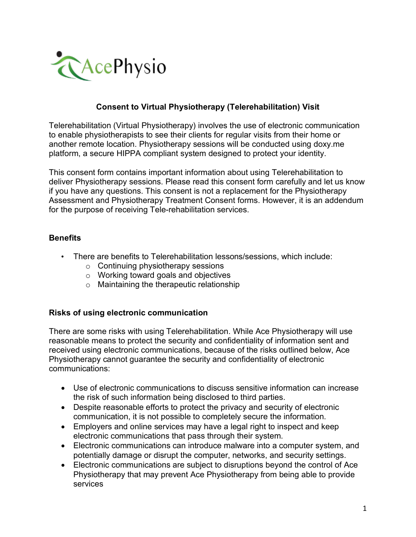

## **Consent to Virtual Physiotherapy (Telerehabilitation) Visit**

Telerehabilitation (Virtual Physiotherapy) involves the use of electronic communication to enable physiotherapists to see their clients for regular visits from their home or another remote location. Physiotherapy sessions will be conducted using doxy.me platform, a secure HIPPA compliant system designed to protect your identity.

This consent form contains important information about using Telerehabilitation to deliver Physiotherapy sessions. Please read this consent form carefully and let us know if you have any questions. This consent is not a replacement for the Physiotherapy Assessment and Physiotherapy Treatment Consent forms. However, it is an addendum for the purpose of receiving Tele-rehabilitation services.

## **Benefits**

- There are benefits to Telerehabilitation lessons/sessions, which include:
	- o Continuing physiotherapy sessions
	- o Working toward goals and objectives
	- o Maintaining the therapeutic relationship

#### **Risks of using electronic communication**

There are some risks with using Telerehabilitation. While Ace Physiotherapy will use reasonable means to protect the security and confidentiality of information sent and received using electronic communications, because of the risks outlined below, Ace Physiotherapy cannot guarantee the security and confidentiality of electronic communications:

- Use of electronic communications to discuss sensitive information can increase the risk of such information being disclosed to third parties.
- Despite reasonable efforts to protect the privacy and security of electronic communication, it is not possible to completely secure the information.
- Employers and online services may have a legal right to inspect and keep electronic communications that pass through their system.
- Electronic communications can introduce malware into a computer system, and potentially damage or disrupt the computer, networks, and security settings.
- Electronic communications are subject to disruptions beyond the control of Ace Physiotherapy that may prevent Ace Physiotherapy from being able to provide services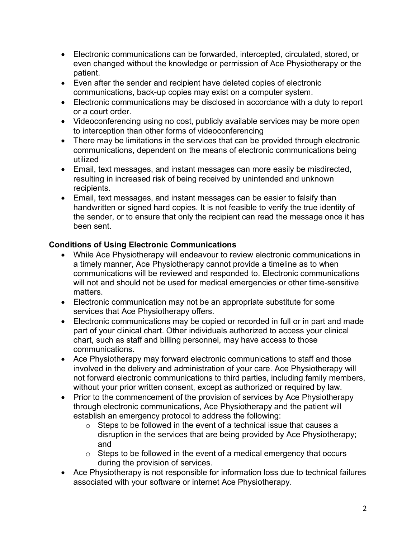- Electronic communications can be forwarded, intercepted, circulated, stored, or even changed without the knowledge or permission of Ace Physiotherapy or the patient.
- Even after the sender and recipient have deleted copies of electronic communications, back-up copies may exist on a computer system.
- Electronic communications may be disclosed in accordance with a duty to report or a court order.
- Videoconferencing using no cost, publicly available services may be more open to interception than other forms of videoconferencing
- There may be limitations in the services that can be provided through electronic communications, dependent on the means of electronic communications being utilized
- Email, text messages, and instant messages can more easily be misdirected, resulting in increased risk of being received by unintended and unknown recipients.
- Email, text messages, and instant messages can be easier to falsify than handwritten or signed hard copies. It is not feasible to verify the true identity of the sender, or to ensure that only the recipient can read the message once it has been sent.

# **Conditions of Using Electronic Communications**

- While Ace Physiotherapy will endeavour to review electronic communications in a timely manner, Ace Physiotherapy cannot provide a timeline as to when communications will be reviewed and responded to. Electronic communications will not and should not be used for medical emergencies or other time-sensitive matters.
- Electronic communication may not be an appropriate substitute for some services that Ace Physiotherapy offers.
- Electronic communications may be copied or recorded in full or in part and made part of your clinical chart. Other individuals authorized to access your clinical chart, such as staff and billing personnel, may have access to those communications.
- Ace Physiotherapy may forward electronic communications to staff and those involved in the delivery and administration of your care. Ace Physiotherapy will not forward electronic communications to third parties, including family members, without your prior written consent, except as authorized or required by law.
- Prior to the commencement of the provision of services by Ace Physiotherapy through electronic communications, Ace Physiotherapy and the patient will establish an emergency protocol to address the following:
	- o Steps to be followed in the event of a technical issue that causes a disruption in the services that are being provided by Ace Physiotherapy; and
	- $\circ$  Steps to be followed in the event of a medical emergency that occurs during the provision of services.
- Ace Physiotherapy is not responsible for information loss due to technical failures associated with your software or internet Ace Physiotherapy.